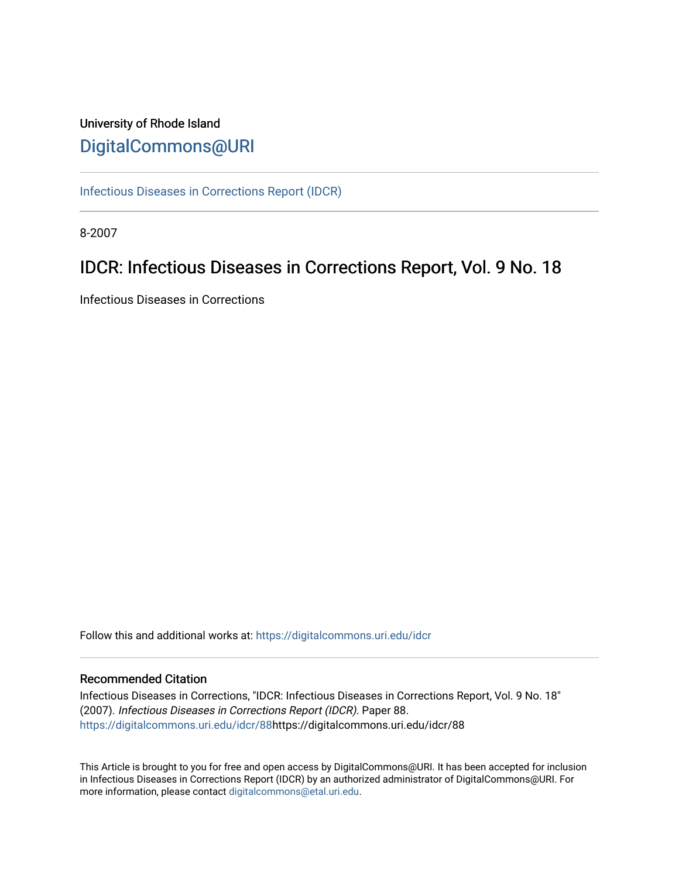## University of Rhode Island [DigitalCommons@URI](https://digitalcommons.uri.edu/)

[Infectious Diseases in Corrections Report \(IDCR\)](https://digitalcommons.uri.edu/idcr)

8-2007

## IDCR: Infectious Diseases in Corrections Report, Vol. 9 No. 18

Infectious Diseases in Corrections

Follow this and additional works at: [https://digitalcommons.uri.edu/idcr](https://digitalcommons.uri.edu/idcr?utm_source=digitalcommons.uri.edu%2Fidcr%2F88&utm_medium=PDF&utm_campaign=PDFCoverPages)

### Recommended Citation

Infectious Diseases in Corrections, "IDCR: Infectious Diseases in Corrections Report, Vol. 9 No. 18" (2007). Infectious Diseases in Corrections Report (IDCR). Paper 88. [https://digitalcommons.uri.edu/idcr/88h](https://digitalcommons.uri.edu/idcr/88?utm_source=digitalcommons.uri.edu%2Fidcr%2F88&utm_medium=PDF&utm_campaign=PDFCoverPages)ttps://digitalcommons.uri.edu/idcr/88

This Article is brought to you for free and open access by DigitalCommons@URI. It has been accepted for inclusion in Infectious Diseases in Corrections Report (IDCR) by an authorized administrator of DigitalCommons@URI. For more information, please contact [digitalcommons@etal.uri.edu.](mailto:digitalcommons@etal.uri.edu)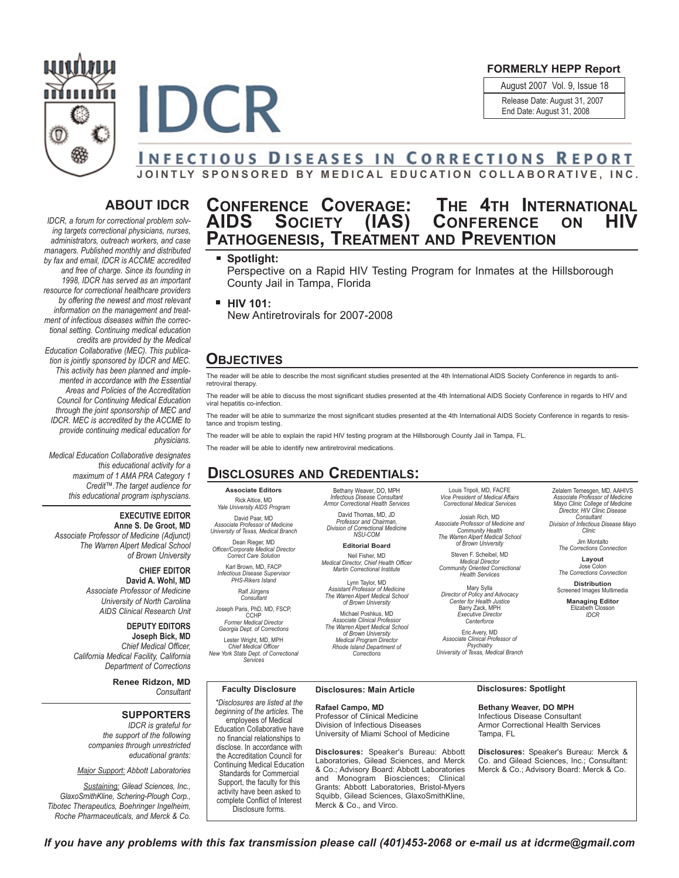### August 2007 Vol. 9, Issue 18 **FORMERLY HEPP Report**

Release Date: August 31, 2007 End Date: August 31, 2008

O



# **INFECTIOUS DISEASES IN CORRECTIONS REPORT**

**JOINTLY SPONSORED BY MEDICAL EDUCATION COLLABORATIVE, INC.**

### **ABOUT IDCR**

*IDCR, a forum for correctional problem solving targets correctional physicians, nurses, administrators, outreach workers, and case managers. Published monthly and distributed by fax and email, IDCR is ACCME accredited and free of charge. Since its founding in 1998, IDCR has served as an important resource for correctional healthcare providers by offering the newest and most relevant information on the management and treatment of infectious diseases within the correctional setting. Continuing medical education credits are provided by the Medical Education Collaborative (MEC). This publication is jointly sponsored by IDCR and MEC. This activity has been planned and implemented in accordance with the Essential Areas and Policies of the Accreditation Council for Continuing Medical Education through the joint sponsorship of MEC and IDCR. MEC is accredited by the ACCME to provide continuing medical education for physicians.* 

*Medical Education Collaborative designates this educational activity for a maximum of 1 AMA PRA Category 1 Credit™.The target audience for this educational program isphyscians.* 

### **EXECUTIVE EDITOR**

**Anne S. De Groot, MD** *Associate Professor of Medicine (Adjunct) The Warren Alpert Medical School of Brown University*

> **CHIEF EDITOR David A. Wohl, MD** *Associate Professor of Medicine University of North Carolina AIDS Clinical Research Unit*

**DEPUTY EDITORS Joseph Bick, MD** *Chief Medical Officer, California Medical Facility, California Department of Corrections*

**Renee Ridzon, MD** *Consultant*

## **SUPPORTERS**

*IDCR is grateful for the support of the following companies through unrestricted educational grants:*

*Major Support: Abbott Laboratories* 

*Sustaining: Gilead Sciences, Inc., GlaxoSmithKline, Schering-Plough Corp., Tibotec Therapeutics, Boehringer Ingelheim, Roche Pharmaceuticals, and Merck & Co.*

## **CONFERENCE COVERAGE: THE 4TH INTERNATIONAL AIDS SOCIETY (IAS) CONFERENCE ON HIV PATHOGENESIS, TREATMENT AND PREVENTION**

### **Spotlight:**

Perspective on a Rapid HIV Testing Program for Inmates at the Hillsborough County Jail in Tampa, Florida

**HIV 101:** New Antiretrovirals for 2007-2008

### **OBJECTIVES**

The reader will be able to describe the most significant studies presented at the 4th International AIDS Society Conference in regards to antiretroviral therapy.

The reader will be able to discuss the most significant studies presented at the 4th International AIDS Society Conference in regards to HIV and viral hepatitis co-infection.

The reader will be able to summarize the most significant studies presented at the 4th International AIDS Society Conference in regards to resistance and tropism testing.

The reader will be able to explain the rapid HIV testing program at the Hillsborough County Jail in Tampa, FL.

The reader will be able to identify new antiretroviral medications.

### **DISCLOSURES AND CREDENTIALS:**

**Associate Editors** Rick Altice, MD *Yale University AIDS Program*

David Paar, MD *Associate Professor of Medicine University of Texas, Medical Branch*

Dean Rieger, MD *Officer/Corporate Medical Director Correct Care Solution*

Karl Brown, MD, FACP *Infectious Disease Supervisor PHS-Rikers Island* Ralf Jürgens

*Consultant* Joseph Paris, PhD, MD, FSCP,

CCHP *Former Medical Director Georgia Dept. of Corrections* Lester Wright, MD, MPH

*Chief Medical Officer New York State Dept. of Correctional Services*

Bethany Weaver, DO, MPH *Infectious Disease Consultant Armor Correctional Health Services* David Thomas, MD, JD *Professor and Chairman, Division of Correctional Medicine NSU-COM*

**Editorial Board** Neil Fisher, MD *Medical Director, Chief Health Officer Martin Correctional Institute*

Lynn Taylor, MD *Assistant Professor of Medicine The Warren Alpert Medical School of Brown University*

Michael Poshkus, MD *Associate Clinical Professor The Warren Alpert Medical School of Brown University Medical Program Director Rhode Island Department of Corrections*

Louis Tripoli, MD, FACFE *Vice President of Medical Affairs Correctional Medical Services*

Josiah Rich, MD *Associate Professor of Medicine and Community Health The Warren Alpert Medical School of Brown University*

Steven F. Scheibel, MD *Medical Director Community Oriented Correctional Health Serviices*

Mary Sylla *Director of Policy and Advocacy Center for Health Justice* Barry Zack, MPH *Executive Director Centerforce*

Eric Avery, MD *Associate Clinical Professor of Psychiatry University of Texas, Medical Branch*

Zelalem Temesgen, MD, AAHIVS *Associate Professor of Medicine Mayo Clinic College of Medicine Director, HIV Clinic Disease Consultant Division of Infectious Disease Mayo Clinic*

> Jim Montalto *The Corrections Connection*

**Layout** Jose Colon *The Corrections Connection*

**Distribution** Screened Images Multimedia

**Managing Editor** Elizabeth Closson *IDCR*

**Faculty Disclosure**

*\*Disclosures are listed at the beginning of the articles.* The employees of Medical Education Collaborative have no financial relationships to disclose. In accordance with the Accreditation Council for Continuing Medical Education Standards for Commercial Support, the faculty for this activity have been asked to complete Conflict of Interest Disclosure forms.

**Rafael Campo, MD** Professor of Clinical Medicine Division of Infectious Diseases University of Miami School of Medicine

**Disclosures:** Speaker's Bureau: Abbott Laboratories, Gilead Sciences, and Merck & Co.; Advisory Board: Abbott Laboratories and Monogram Biosciences; Clinical Grants: Abbott Laboratories, Bristol-Myers Squibb, Gilead Sciences, GlaxoSmithKline, Merck & Co., and Virco.

**Bethany Weaver, DO MPH** Infectious Disease Consultant Armor Correctional Health Services Tampa, FL

**Disclosures:** Speaker's Bureau: Merck & Co. and Gilead Sciences, Inc.; Consultant: Merck & Co.; Advisory Board: Merck & Co.

**Disclosures: Main Article Disclosures: Spotlight**

*If you have any problems with this fax transmission please call (401)453-2068 or e-mail us at idcrme@gmail.com*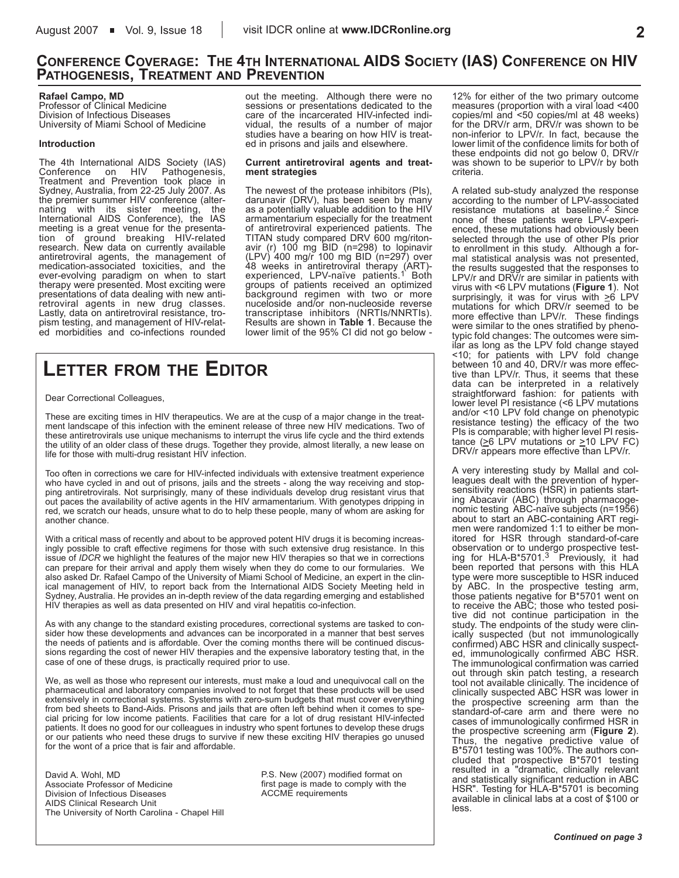### **CONFERENCE COVERAGE: THE 4TH INTERNATIONAL AIDS SOCIETY (IAS) CONFERENCE ON HIV PATHOGENESIS, TREATMENT AND PREVENTION**

#### **Rafael Campo, MD**

Professor of Clinical Medicine Division of Infectious Diseases University of Miami School of Medicine

### **Introduction**

The 4th International AIDS Society (IAS)<br>Conference on HIV Pathogenesis, Pathogenesis, Treatment and Prevention took place in Sydney, Australia, from 22-25 July 2007. As the premier summer HIV conference (alternating with its sister meeting, the International AIDS Conference), the IAS meeting is a great venue for the presentation of ground breaking HIV-related research. New data on currently available antiretroviral agents, the management of medication-associated toxicities, and the ever-evolving paradigm on when to start therapy were presented. Most exciting were presentations of data dealing with new antiretroviral agents in new drug classes. Lastly, data on antiretroviral resistance, tropism testing, and management of HIV-related morbidities and co-infections rounded out the meeting. Although there were no sessions or presentations dedicated to the care of the incarcerated HIV-infected individual, the results of a number of major studies have a bearing on how HIV is treated in prisons and jails and elsewhere.

#### **Current antiretroviral agents and treatment strategies**

The newest of the protease inhibitors (PIs), darunavir (DRV), has been seen by many as a potentially valuable addition to the HIV armamentarium especially for the treatment of antiretroviral experienced patients. The TITAN study compared DRV 600 mg/ritonavir (r) 100 mg BID (n=298) to lopinavir (LPV) 400 mg/r 100 mg BID (n=297) over 48 weeks in antiretroviral therapy (ART)- experienced, LPV-naïve patients.1 Both groups of patients received an optimized background regimen with two or more nuceloside and/or non-nucleoside reverse transcriptase inhibitors (NRTIs/NNRTIs). Results are shown in **Table 1**. Because the lower limit of the 95% CI did not go below -

## **LETTER FROM THE EDITOR**

Dear Correctional Colleagues,

These are exciting times in HIV therapeutics. We are at the cusp of a major change in the treatment landscape of this infection with the eminent release of three new HIV medications. Two of these antiretrovirals use unique mechanisms to interrupt the virus life cycle and the third extends the utility of an older class of these drugs. Together they provide, almost literally, a new lease on life for those with multi-drug resistant HIV infection.

Too often in corrections we care for HIV-infected individuals with extensive treatment experience who have cycled in and out of prisons, jails and the streets - along the way receiving and stopping antiretrovirals. Not surprisingly, many of these individuals develop drug resistant virus that out paces the availability of active agents in the HIV armamentarium. With genotypes dripping in red, we scratch our heads, unsure what to do to help these people, many of whom are asking for another chance.

With a critical mass of recently and about to be approved potent HIV drugs it is becoming increasingly possible to craft effective regimens for those with such extensive drug resistance. In this issue of *IDCR* we highlight the features of the major new HIV therapies so that we in corrections can prepare for their arrival and apply them wisely when they do come to our formularies. We also asked Dr. Rafael Campo of the University of Miami School of Medicine, an expert in the clinical management of HIV, to report back from the International AIDS Society Meeting held in Sydney, Australia. He provides an in-depth review of the data regarding emerging and established HIV therapies as well as data presented on HIV and viral hepatitis co-infection.

As with any change to the standard existing procedures, correctional systems are tasked to consider how these developments and advances can be incorporated in a manner that best serves the needs of patients and is affordable. Over the coming months there will be continued discussions regarding the cost of newer HIV therapies and the expensive laboratory testing that, in the case of one of these drugs, is practically required prior to use.

We, as well as those who represent our interests, must make a loud and unequivocal call on the pharmaceutical and laboratory companies involved to not forget that these products will be used extensively in correctional systems. Systems with zero-sum budgets that must cover everything from bed sheets to Band-Aids. Prisons and jails that are often left behind when it comes to special pricing for low income patients. Facilities that care for a lot of drug resistant HIV-infected patients. It does no good for our colleagues in industry who spent fortunes to develop these drugs or our patients who need these drugs to survive if new these exciting HIV therapies go unused for the wont of a price that is fair and affordable.

David A. Wohl, MD Associate Professor of Medicine Division of Infectious Diseases AIDS Clinical Research Unit The University of North Carolina - Chapel Hill P.S. New (2007) modified format on first page is made to comply with the ACCME requirements

12% for either of the two primary outcome measures (proportion with a viral load <400 copies/ml and <50 copies/ml at 48 weeks) for the DRV/r arm, DRV/r was shown to be non-inferior to LPV/r. In fact, because the lower limit of the confidence limits for both of these endpoints did not go below 0, DRV/r was shown to be superior to LPV/r by both criteria.

A related sub-study analyzed the response according to the number of LPV-associated resistance mutations at baseline.<sup>2</sup> Since none of these patients were LPV-experienced, these mutations had obviously been selected through the use of other PIs prior to enrollment in this study. Although a formal statistical analysis was not presented, the results suggested that the responses to LPV/r and DRV/r are similar in patients with virus with <6 LPV mutations (**Figure 1**). Not surprisingly, it was for virus with  $\geq 6$  LPV mutations for which DRV/r seemed to be more effective than LPV/r. These findings were similar to the ones stratified by phenotypic fold changes: The outcomes were similar as long as the LPV fold change stayed <10; for patients with LPV fold change between 10 and 40, DRV/r was more effective than LPV/r. Thus, it seems that these data can be interpreted in a relatively straightforward fashion: for patients with lower level PI resistance (<6 LPV mutations and/or <10 LPV fold change on phenotypic resistance testing) the efficacy of the two PIs is comparable; with higher level PI resistance ( $\geq$ 6 LPV mutations or  $\geq$ 10 LPV FC) DRV/r appears more effective than LPV/r.

A very interesting study by Mallal and colleagues dealt with the prevention of hypersensitivity reactions (HSR) in patients starting Abacavir (ABC) through pharmacogenomic testing ABC-naïve subjects (n=1956) about to start an ABC-containing ART regimen were randomized 1:1 to either be monitored for HSR through standard-of-care observation or to undergo prospective test-ing for HLA-B\*5701.3 Previously, it had been reported that persons with this HLA type were more susceptible to HSR induced by ABC. In the prospective testing arm, those patients negative for B\*5701 went on to receive the ABC; those who tested positive did not continue participation in the study. The endpoints of the study were clinically suspected (but not immunologically confirmed) ABC HSR and clinically suspected, immunologically confirmed ABC HSR. The immunological confirmation was carried out through skin patch testing, a research tool not available clinically. The incidence of clinically suspected ABC HSR was lower in the prospective screening arm than the standard-of-care arm and there were no cases of immunologically confirmed HSR in the prospective screening arm (**Figure 2**). Thus, the negative predictive value of B\*5701 testing was 100%. The authors concluded that prospective B\*5701 testing resulted in a "dramatic, clinically relevant and statistically significant reduction in ABC HSR". Testing for HLA-B\*5701 is becoming available in clinical labs at a cost of \$100 or less.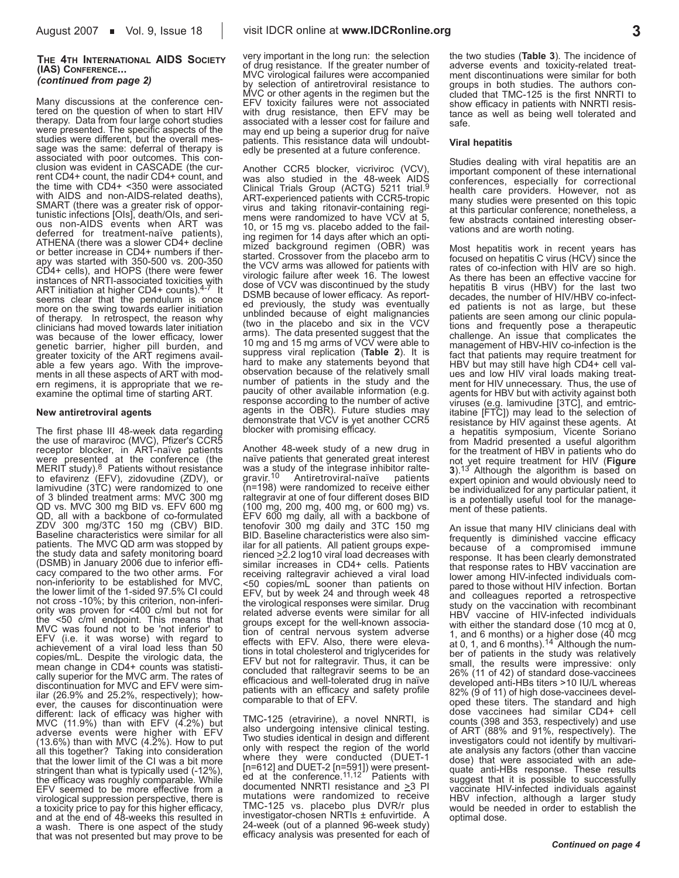Many discussions at the conference centered on the question of when to start HIV therapy. Data from four large cohort studies were presented. The specific aspects of the studies were different, but the overall message was the same: deferral of therapy is associated with poor outcomes. This conclusion was evident in CASCADE (the current CD4+ count, the nadir CD4+ count, and the time with CD4+ <350 were associated with AIDS and non-AIDS-related deaths), SMART (there was a greater risk of opportunistic infections [OIs], death/OIs, and serious non-AIDS events when ART was deferred for treatment-naïve patients), ATHENA (there was a slower CD4+ decline or better increase in CD4+ numbers if therapy was started with 350-500 vs. 200-350 CD4+ cells), and HOPS (there were fewer instances of NRTI-associated toxicities with ART initiation at higher CD4+ counts).<sup>4-7</sup> It seems clear that the pendulum is once more on the swing towards earlier initiation of therapy. In retrospect, the reason why clinicians had moved towards later initiation was because of the lower efficacy, lower genetic barrier, higher pill burden, and greater toxicity of the ART regimens available a few years ago. With the improvements in all these aspects of ART with modern regimens, it is appropriate that we reexamine the optimal time of starting ART.

### **New antiretroviral agents**

The first phase III 48-week data regarding the use of maraviroc (MVC), Pfizer's CCR5 receptor blocker, in ART-naïve patients were presented at the conference (the<br>MERIT study).<sup>8</sup> Patients without resistance to efavirenz (EFV), zidovudine (ZDV), or lamivudine (3TC) were randomized to one of 3 blinded treatment arms: MVC 300 mg QD vs. MVC 300 mg BID vs. EFV 600 mg QD, all with a backbone of co-formulated ZDV 300 mg/3TC 150 mg (CBV) BID. Baseline characteristics were similar for all patients. The MVC QD arm was stopped by the study data and safety monitoring board (DSMB) in January 2006 due to inferior efficacy compared to the two other arms. For non-inferiority to be established for MVC, the lower limit of the 1-sided 97.5% CI could not cross -10%; by this criterion, non-inferiority was proven for <400 c/ml but not for the <50 c/ml endpoint. This means that MVC was found not to be 'not inferior' to EFV (i.e. it was worse) with regard to achievement of a viral load less than 50 copies/mL. Despite the virologic data, the mean change in CD4+ counts was statistically superior for the MVC arm. The rates of discontinuation for MVC and EFV were similar (26.9% and 25.2%, respectively); however, the causes for discontinuation were different: lack of efficacy was higher with MVC (11.9%) than with EFV (4.2%) but adverse events were higher with EFV  $(13.6\%)$  than with MVC  $(4.2\%)$ . How to put all this together? Taking into consideration that the lower limit of the CI was a bit more stringent than what is typically used (-12%), the efficacy was roughly comparable. While EFV seemed to be more effective from a virological suppression perspective, there is a toxicity price to pay for this higher efficacy, and at the end of 48-weeks this resulted in a wash. There is one aspect of the study that was not presented but may prove to be very important in the long run: the selection of drug resistance. If the greater number of MVC virological failures were accompanied by selection of antiretroviral resistance to MVC or other agents in the regimen but the EFV toxicity failures were not associated with drug resistance, then EFV may be associated with a lesser cost for failure and may end up being a superior drug for naïve patients. This resistance data will undoubtedly be presented at a future conference.

Another CCR5 blocker, vicriviroc (VCV), was also studied in the 48-week AIDS Clinical Trials Group (ACTG) 5211 trial.<sup>9</sup> ART-experienced patients with CCR5-tropic virus and taking ritonavir-containing regimens were randomized to have VCV at 5, 10, or 15 mg vs. placebo added to the failing regimen for 14 days after which an optimized background regimen (OBR) was started. Crossover from the placebo arm to the VCV arms was allowed for patients with virologic failure after week 16. The lowest dose of VCV was discontinued by the study DSMB because of lower efficacy. As reported previously, the study was eventually unblinded because of eight malignancies (two in the placebo and six in the VCV arms). The data presented suggest that the 10 mg and 15 mg arms of VCV were able to suppress viral replication (**Table 2**). It is hard to make any statements beyond that observation because of the relatively small number of patients in the study and the paucity of other available information (e.g. response according to the number of active agents in the OBR). Future studies may demonstrate that VCV is yet another CCR5 blocker with promising efficacy.

Another 48-week study of a new drug in naïve patients that generated great interest was a study of the integrase inhibitor raltegravir.<sup>10</sup> Antiretroviral-naïve patients (n=198) were randomized to receive either raltegravir at one of four different doses BID (100 mg, 200 mg, 400 mg, or 600 mg) vs. EFV 600 mg daily, all with a backbone of tenofovir 300 mg daily and 3TC 150 mg BID. Baseline characteristics were also similar for all patients. All patient groups experienced  $\geq$  2.2 log10 viral load decreases with similar increases in CD4+ cells. Patients receiving raltegravir achieved a viral load <50 copies/mL sooner than patients on EFV, but by week 24 and through week 48 the virological responses were similar. Drug related adverse events were similar for all groups except for the well-known association of central nervous system adverse effects with EFV. Also, there were elevations in total cholesterol and triglycerides for EFV but not for raltegravir. Thus, it can be concluded that raltegravir seems to be an efficacious and well-tolerated drug in naïve patients with an efficacy and safety profile comparable to that of EFV.

TMC-125 (etravirine), a novel NNRTI, is also undergoing intensive clinical testing. Two studies identical in design and different only with respect the region of the world where they were conducted (DUET-1 [n=612] and DUET-2 [n=591]) were present-ed at the conference.11,12 Patients with documented NNRTI resistance and  $\geq$ 3 PI mutations were randomized to receive TMC-125 vs. placebo plus DVR/r plus investigator-chosen NRTIs ± enfuvirtide. A 24-week (out of a planned 96-week study) efficacy analysis was presented for each of the two studies (**Table 3**). The incidence of adverse events and toxicity-related treatment discontinuations were similar for both groups in both studies. The authors concluded that TMC-125 is the first NNRTI to show efficacy in patients with NNRTI resistance as well as being well tolerated and safe.

### **Viral hepatitis**

Studies dealing with viral hepatitis are an important component of these international conferences, especially for correctional health care providers. However, not as many studies were presented on this topic at this particular conference; nonetheless, a few abstracts contained interesting observations and are worth noting.

Most hepatitis work in recent years has focused on hepatitis C virus (HCV) since the rates of co-infection with HIV are so high. As there has been an effective vaccine for hepatitis B virus (HBV) for the last two decades, the number of HIV/HBV co-infected patients is not as large, but these patients are seen among our clinic populations and frequently pose a therapeutic challenge. An issue that complicates the management of HBV-HIV co-infection is the fact that patients may require treatment for HBV but may still have high CD4+ cell values and low HIV viral loads making treatment for HIV unnecessary. Thus, the use of agents for HBV but with activity against both viruses (e.g. lamivudine [3TC], and emtricitabine [FTC]) may lead to the selection of resistance by HIV against these agents. At a hepatitis symposium, Vicente Soriano from Madrid presented a useful algorithm for the treatment of HBV in patients who do not yet require treatment for HIV (**Figure 3**).13 Although the algorithm is based on expert opinion and would obviously need to be individualized for any particular patient, it is a potentially useful tool for the management of these patients.

An issue that many HIV clinicians deal with frequently is diminished vaccine efficacy because of a compromised immune response. It has been clearly demonstrated that response rates to HBV vaccination are lower among HIV-infected individuals compared to those without HIV infection. Bortan and colleagues reported a retrospective study on the vaccination with recombinant HBV vaccine of HIV-infected individuals with either the standard dose (10 mcg at 0, 1, and 6 months) or a higher dose (40 mcg at 0, 1, and 6 months).14 Although the number of patients in the study was relatively small, the results were impressive: only 26% (11 of 42) of standard dose-vaccinees developed anti-HBs titers >10 IU/L whereas 82% (9 of 11) of high dose-vaccinees developed these titers. The standard and high dose vaccinees had similar CD4+ cell counts (398 and 353, respectively) and use of ART (88% and 91%, respectively). The investigators could not identify by multivariate analysis any factors (other than vaccine dose) that were associated with an adequate anti-HBs response. These results suggest that it is possible to successfully vaccinate HIV-infected individuals against HBV infection, although a larger study would be needed in order to establish the optimal dose.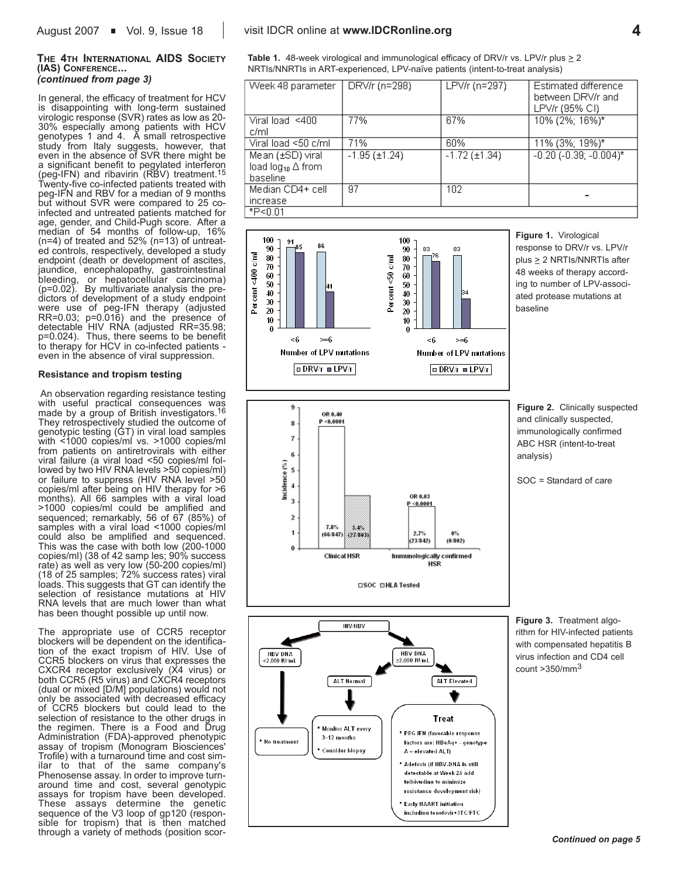#### **THE 4TH INTERNATIONAL AIDS SOCIETY (IAS) CONFERENCE...** *(continued from page 3)*

In general, the efficacy of treatment for HCV is disappointing with long-term sustained virologic response (SVR) rates as low as 20- 30% especially among patients with HCV genotypes 1 and 4. A small retrospective study from Italy suggests, however, that even in the absence of SVR there might be a significant benefit to pegylated interferon (peg-IFN) and ribavirin (RBV) treatment.<sup>15</sup> Twenty-five co-infected patients treated with peg-IFN and RBV for a median of 9 months but without SVR were compared to 25 coinfected and untreated patients matched for age, gender, and Child-Pugh score. After a median of 54 months of follow-up, 16% (n=4) of treated and 52% (n=13) of untreated controls, respectively, developed a study endpoint (death or development of ascites, jaundice, encephalopathy, gastrointestinal bleeding, or hepatocellular carcinoma) (p=0.02). By multivariate analysis the predictors of development of a study endpoint were use of peg-IFN therapy (adjusted RR=0.03; p=0.016) and the presence of detectable HIV RNA (adjusted RR=35.98; p=0.024). Thus, there seems to be benefit to therapy for HCV in co-infected patients even in the absence of viral suppression.

### **Resistance and tropism testing**

An observation regarding resistance testing with useful practical consequences was made by a group of British investigators.16 They retrospectively studied the outcome of genotypic testing (GT) in viral load samples with <1000 copies/ml vs. >1000 copies/ml from patients on antiretrovirals with either viral failure (a viral load <50 copies/ml followed by two HIV RNA levels >50 copies/ml) or failure to suppress (HIV RNA level >50 copies/ml after being on HIV therapy for >6 months). All 66 samples with a viral load >1000 copies/ml could be amplified and sequenced; remarkably, 56 of 67 (85%) of samples with a viral load <1000 copies/ml could also be amplified and sequenced. This was the case with both low (200-1000 copies/ml) (38 of 42 samp les; 90% success rate) as well as very low (50-200 copies/ml) (18 of 25 samples; 72% success rates) viral loads. This suggests that GT can identify the selection of resistance mutations at HIV RNA levels that are much lower than what has been thought possible up until now.

The appropriate use of CCR5 receptor blockers will be dependent on the identification of the exact tropism of HIV. Use of CCR5 blockers on virus that expresses the CXCR4 receptor exclusively (X4 virus) or both CCR5 (R5 virus) and CXCR4 receptors (dual or mixed [D/M] populations) would not only be associated with decreased efficacy of CCR5 blockers but could lead to the selection of resistance to the other drugs in the regimen. There is a Food and Drug Administration (FDA)-approved phenotypic assay of tropism (Monogram Biosciences' Trofile) with a turnaround time and cost similar to that of the same company's Phenosense assay. In order to improve turnaround time and cost, several genotypic assays for tropism have been developed. These assays determine the genetic sequence of the V3 loop of gp120 (responsible for tropism) that is then matched through a variety of methods (position scor-

**Table 1.** 48-week virological and immunological efficacy of DRV/r vs. LPV/r plus > 2 NRTIs/NNRTIs in ART-experienced, LPV-naïve patients (intent-to-treat analysis)

| Week 48 parameter                                                                                                                                                             | DRV/r (n=298)                                                                                                                               | LPV/r (n=297)                                                                                   | Estimated difference<br>between DRV/r and<br>LPV/r (95% CI)                                                                                                                                       |
|-------------------------------------------------------------------------------------------------------------------------------------------------------------------------------|---------------------------------------------------------------------------------------------------------------------------------------------|-------------------------------------------------------------------------------------------------|---------------------------------------------------------------------------------------------------------------------------------------------------------------------------------------------------|
| Viral load <400                                                                                                                                                               | 77%                                                                                                                                         | 67%                                                                                             | 10% (2%; 16%)*                                                                                                                                                                                    |
| c/ml<br>Viral load <50 c/ml                                                                                                                                                   | 71%                                                                                                                                         | 60%                                                                                             | 11% (3%; 19%)*                                                                                                                                                                                    |
| Mean (±SD) viral                                                                                                                                                              | $-1.95 (\pm 1.24)$                                                                                                                          | $-1.72 (\pm 1.34)$                                                                              | $-0.20$ ( $-0.39$ ; $-0.004$ )*                                                                                                                                                                   |
| load log <sub>10</sub> △ from                                                                                                                                                 |                                                                                                                                             |                                                                                                 |                                                                                                                                                                                                   |
| baseline                                                                                                                                                                      |                                                                                                                                             |                                                                                                 |                                                                                                                                                                                                   |
| Median CD4+ cell                                                                                                                                                              | 97                                                                                                                                          | 102                                                                                             |                                                                                                                                                                                                   |
| increase                                                                                                                                                                      |                                                                                                                                             |                                                                                                 |                                                                                                                                                                                                   |
| $*P < 0.01$                                                                                                                                                                   |                                                                                                                                             |                                                                                                 |                                                                                                                                                                                                   |
| 100<br>91<br>86<br>85<br>90<br>Percent<400 c/ml<br>80<br>70<br>60<br>50<br>41<br>40<br>30<br>20<br>10<br>0<br><6<br>$\approx 6$<br>Number of LPV mutations<br>o DRV/r o LPV/r | 100<br>90<br>83<br>76<br>Percent<50 c/ml<br>80<br>70<br>60<br>50<br>40<br>30<br>20<br>10<br>0<br><6                                         | 83<br>b4<br>$\geq 6$<br><b>Number of LPV mutations</b><br>$\equiv$ DRV/r $\equiv$ LPV/r         | Figure 1. Virological<br>response to DRV/r vs. LPV/r<br>plus $\geq$ 2 NRTIs/NNRTIs after<br>48 weeks of therapy accord-<br>ing to number of LPV-associ-<br>ated protease mutations at<br>baseline |
| 9<br>OR 0.40<br>P < 0.0001<br>8<br>7<br>6<br>Incidence (%)<br>5<br>$\ddot{\phantom{a}}$<br>3<br>2<br>7.8%<br>1<br>(66/847)<br>$\bf{0}$                                        | OR 0.03<br>P < 0.0001<br>3.4%<br>2.7%<br>(27393)<br>(23.842)<br>Immunologically confirmed<br><b>Clinical HSR</b><br>HSR<br>□SOC □HLA Tested | $0\%$<br>(0.802)                                                                                | Figure 2. Clinically suspected<br>and clinically suspected,<br>immunologically confirmed<br>ABC HSR (intent-to-treat<br>analysis)<br>SOC = Standard of care                                       |
| <b>HBV DNA</b>                                                                                                                                                                | <b>HIV/HBV</b><br><b>HBV DNA</b>                                                                                                            |                                                                                                 | Figure 3. Treatment algo-<br>rithm for HIV-infected patients<br>with compensated hepatitis B<br>virus infection and CD4 cell                                                                      |
| <2,000 IU/mL<br>3-12 months<br>* No treatment<br>* Consider biopsy                                                                                                            | ≥2,000 IU/mL<br>ALT Normal<br>* Monitor ALT every<br>A - elevated ALT)                                                                      | <b>ALT Elevated</b><br>Treat<br>* PEG IFN (favorable response<br>factors are: HBeAg+ - genotype | count > 350/mm <sup>3</sup>                                                                                                                                                                       |

Adefovir (if HBV-DNA is still detectable at Week 24 add telbivudine to minimize resistance development risk) \* Early HAART initiation including tenofovir+3TC/FTC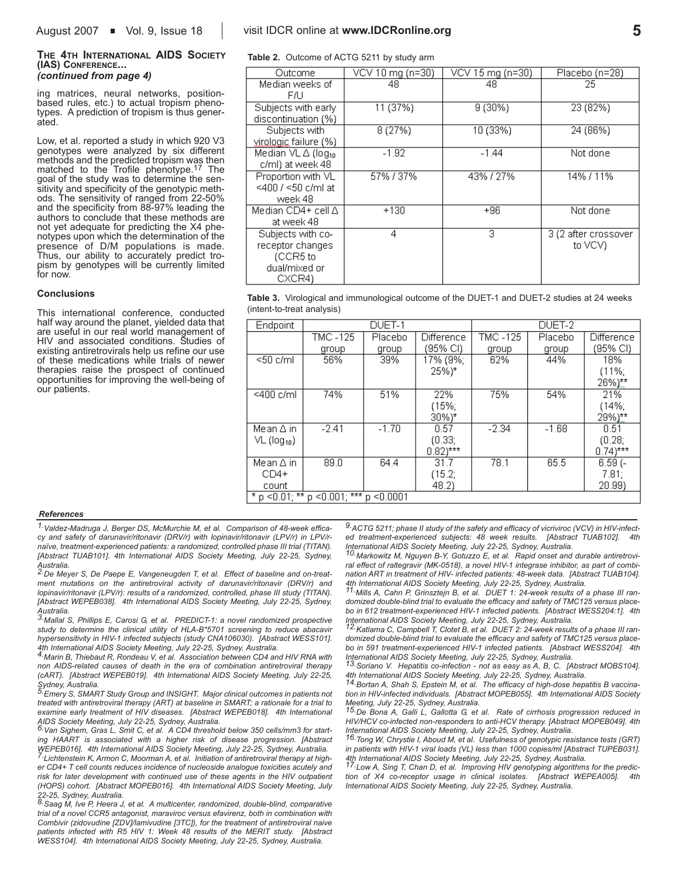### **THE 4TH INTERNATIONAL AIDS SOCIETY (IAS) CONFERENCE...**

*(continued from page 4)*

ing matrices, neural networks, positionbased rules, etc.) to actual tropism phenotypes. A prediction of tropism is thus generated.

Low, et al. reported a study in which 920 V3 genotypes were analyzed by six different methods and the predicted tropism was then matched to the Trofile phenotype.17 The goal of the study was to determine the sensitivity and specificity of the genotypic methods. The sensitivity of ranged from 22-50% and the specificity from 88-97% leading the authors to conclude that these methods are not yet adequate for predicting the X4 phenotypes upon which the determination of the presence of D/M populations is made. Thus, our ability to accurately predict tropism by genotypes will be currently limited for now.

#### **Conclusions**

This international conference, conducted half way around the planet, yielded data that are useful in our real world management of HIV and associated conditions. Studies of existing antiretrovirals help us refine our use of these medications while trials of newer therapies raise the prospect of continued opportunities for improving the well-being of our patients.

### August 2007 **Nol.** 9, Issue 18 **b** visit IDCR online at **www.IDCRonline.org 5**

**Table 2.** Outcome of ACTG 5211 by study arm

| Outcome                        | VCV 10 mg (n=30) | VCV 15 mg (n=30) | Placebo (n=28)       |
|--------------------------------|------------------|------------------|----------------------|
| Median weeks of                | 48               | 48               | 25                   |
| FÆ.                            |                  |                  |                      |
| Subjects with early            | 11 (37%)         | 9 (30%)          | 23 (82%)             |
| discontinuation (%)            |                  |                  |                      |
| Subjects with                  | 8(27%)           | 10 (33%)         | 24 (86%)             |
| virglogic failure (%)          |                  |                  |                      |
| Median VL A (log <sub>10</sub> | $-1.92$          | $-1.44$          | Not done             |
| c/ml) at week 48               |                  |                  |                      |
| Proportion with VL             | 57%/37%          | 43%/27%          | 14% / 11%            |
| <400 / <50 c/ml at             |                  |                  |                      |
| week 48                        |                  |                  |                      |
| Median CD4+ cell ∆             | $+130$           | $+96$            | Not done             |
| at week 48                     |                  |                  |                      |
| Subjects with co-              | 4                | 3                | 3 (2 after crossover |
| receptor changes               |                  |                  | to VCV)              |
| (CCR5 to                       |                  |                  |                      |
| dual/mixed or                  |                  |                  |                      |
| CXCR4)                         |                  |                  |                      |

**Table 3.** Virological and immunological outcome of the DUET-1 and DUET-2 studies at 24 weeks (intent-to-treat analysis)

| Endpoint                  |                                       | DUET-1  |                       |          | DUET-2  |                       |
|---------------------------|---------------------------------------|---------|-----------------------|----------|---------|-----------------------|
|                           | TMC -125                              | Placebo | Difference            | TMC -125 | Placebo | Difference            |
|                           | group                                 | group   | (95% CI)              | group    | group   | (95% CI)              |
| $<$ 50 c/ml               | 56%                                   | 39%     | 17% (9%;              | 62%      | 44%     | 18%                   |
|                           |                                       |         | $25\%$ <sup>*</sup>   |          |         | (11%;                 |
|                           |                                       |         |                       |          |         | $26\%$ )**            |
| $<$ 400 c/ml              | 74%                                   | 51%     | 22%                   | 75%      | 54%     | 21%                   |
|                           |                                       |         | (15%;                 |          |         | (14%;                 |
|                           |                                       |         | $30\%$ <sup>*</sup>   |          |         | $29\%)$ **            |
| Mean ∆ in                 | $-2.41$                               | $-1.70$ | 0.57                  | $-2.34$  | $-1.68$ | 0.51                  |
| $VL$ (log <sub>10</sub> ) |                                       |         | (0.33)                |          |         | (0.28)                |
|                           |                                       |         | $0.82$ <sup>***</sup> |          |         | $0.74$ <sup>***</sup> |
| Mean ∆ in                 | 89.0                                  | 64.4    | 31.7                  | 78.1     | 65.5    | $6.59(-$              |
| $CD4+$                    |                                       |         | (15.2;                |          |         | 7.81:                 |
| count                     |                                       |         | 48.2)                 |          |         | 20.99)                |
|                           | * p <0.01; ** p <0.001; *** p <0.0001 |         |                       |          |         |                       |

#### *References*

*1.Valdez-Madruga J, Berger DS, McMurchie M, et al. Comparison of 48-week efficacy and safety of darunavir/ritonavir (DRV/r) with lopinavir/ritonavir (LPV/r) in LPV/rnaïve, treatment-experienced patients: a randomized, controlled phase III trial (TITAN). [Abstract TUAB101]. 4th International AIDS Society Meeting, July 22-25, Sydney,*

*Australia. 2.De Meyer S, De Paepe E, Vangeneugden T, et al. Effect of baseline and on-treatment mutations on the antiretroviral activity of darunavir/ritonavir (DRV/r) and lopinavir/ritonavir (LPV/r): results of a randomized, controlled, phase III study (TITAN). [Abstract WEPEB038]. 4th International AIDS Society Meeting, July 22-25, Sydney,*

*Australia. 3.Mallal S, Phillips E, Carosi G, et al. PREDICT-1: a novel randomized prospective study to determine the clinical utility of HLA-B\*5701 screening to reduce abacavir hypersensitivity in HIV-1 infected subjects (study CNA106030). [Abstract WESS101].*

*4th International AIDS Society Meeting, July 22-25, Sydney, Australia. 4.Marin B, Thiebaut R, Rondeau V, et al. Association between CD4 and HIV RNA with non AIDS-related causes of death in the era of combination antiretroviral therapy (cART). [Abstract WEPEB019]. 4th International AIDS Society Meeting, July 22-25,*

*Sydney, Australia. 5.Emery S, SMART Study Group and INSIGHT. Major clinical outcomes in patients not treated with antiretroviral therapy (ART) at baseline in SMART; a rationale for a trial to examine early treatment of HIV diseases. [Abstract WEPEB018]. 4th International AIDS Society Meeting, July 22-25, Sydney, Australia.* 

*6.Van Sighem, Gras L, Smit C, et al. A CD4 threshold below 350 cells/mm3 for starting HAART is associated with a higher risk of disease progression. [Abstract* WEPEB016]. 4th International AIDS Society Meeting, July 22-25, Sydney, Australia.<br><sup>7.</sup>Lichtenstein K, Armon C, Moorman A, et al. Initiation of antiretroviral therapy at high-

*er CD4+ T cell counts reduces incidence of nucleoside analogue toxicities acutely and risk for later development with continued use of these agents in the HIV outpatient (HOPS) cohort. [Abstract MOPEB016]. 4th International AIDS Society Meeting, July 22-25, Sydney, Australia.* 

*8.Saag M, Ive P, Heera J, et al. A multicenter, randomized, double-blind, comparative trial of a novel CCR5 antagonist, maraviroc versus efavirenz, both in combination with Combivir (zidovudine [ZDV]/lamivudine [3TC]), for the treatment of antiretroviral naive patients infected with R5 HIV 1: Week 48 results of the MERIT study. [Abstract WESS104]. 4th International AIDS Society Meeting, July 22-25, Sydney, Australia.* 

*9.ACTG 5211; phase II study of the safety and efficacy of vicriviroc (VCV) in HIV-infected treatment-experienced subjects: 48 week results. [Abstract TUAB102]. 4th*

*International AIDS Society Meeting, July 22-25, Sydney, Australia. 10.Markowitz M, Nguyen B-Y, Gotuzzo E, et al. Rapid onset and durable antiretroviral effect of raltegravir (MK-0518), a novel HIV-1 integrase inhibitor, as part of combination ART in treatment of HIV- infected patients: 48-week data. [Abstract TUAB104]. 4th International AIDS Society Meeting, July 22-25, Sydney, Australia.* 

*11.Mills A, Cahn P, Grinsztejn B, et al. DUET 1: 24-week results of a phase III randomized double-blind trial to evaluate the efficacy and safety of TMC125 versus placebo in 612 treatment-experienced HIV-1 infected patients. [Abstract WESS204:1]. 4th*

*International AIDS Society Meeting, July 22-25, Sydney, Australia. 12.Katlama C, Campbell T, Clotet B, et al. DUET 2: 24-week results of a phase III randomized double-blind trial to evaluate the efficacy and safety of TMC125 versus placebo in 591 treatment-experienced HIV-1 infected patients. [Abstract WESS204]. 4th*

*International AIDS Society Meeting, July 22-25, Sydney, Australia. 13.Soriano V. Hepatitis co-infection - not as easy as A, B, C. [Abstract MOBS104]. 4th International AIDS Society Meeting, July 22-25, Sydney, Australia. 14.Bortan A, Shah S, Epstein M, et al. The efficacy of high-dose hepatitis B vaccina-*

*tion in HIV-infected individuals. [Abstract MOPEB055]. 4th International AIDS Society Meeting, July 22-25, Sydney, Australia.*

*15.De Bona A, Galli L, Gallotta G, et al. Rate of cirrhosis progression reduced in HIV/HCV co-infected non-responders to anti-HCV therapy. [Abstract MOPEB049]. 4th International AIDS Society Meeting, July 22-25, Sydney, Australia.* 

*16.Tong W, Chrystie I, Aboud M, et al. Usefulness of genotypic resistance tests (GRT) in patients with HIV-1 viral loads (VL) less than 1000 copies/ml [Abstract TUPEB031]. 4th International AIDS Society Meeting, July 22-25, Sydney, Australia.*

*17.Low A, Sing T, Chan D, et al. Improving HIV genotyping algorithms for the prediction of X4 co-receptor usage in clinical isolates. [Abstract WEPEA005]. 4th International AIDS Society Meeting, July 22-25, Sydney, Australia.*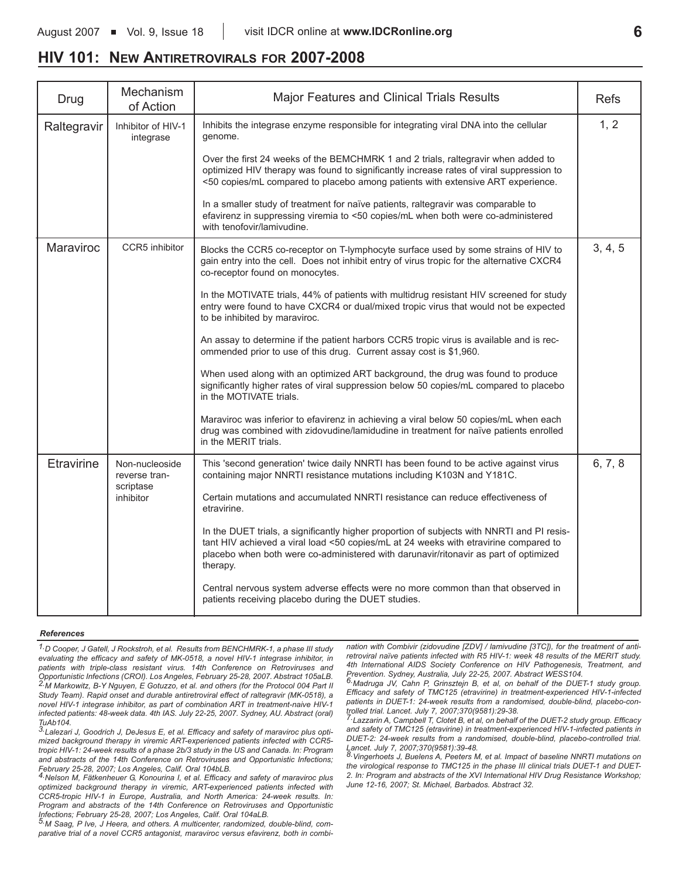### **HIV 101: NEW ANTIRETROVIRALS FOR 2007-2008**

| Drug        | Mechanism<br>of Action          | Major Features and Clinical Trials Results                                                                                                                                                                                                                                             | <b>Refs</b> |
|-------------|---------------------------------|----------------------------------------------------------------------------------------------------------------------------------------------------------------------------------------------------------------------------------------------------------------------------------------|-------------|
| Raltegravir | Inhibitor of HIV-1<br>integrase | Inhibits the integrase enzyme responsible for integrating viral DNA into the cellular<br>genome.                                                                                                                                                                                       | 1, 2        |
|             |                                 | Over the first 24 weeks of the BEMCHMRK 1 and 2 trials, raltegravir when added to<br>optimized HIV therapy was found to significantly increase rates of viral suppression to<br><50 copies/mL compared to placebo among patients with extensive ART experience.                        |             |
|             |                                 | In a smaller study of treatment for naïve patients, raltegravir was comparable to<br>efavirenz in suppressing viremia to <50 copies/mL when both were co-administered<br>with tenofovir/lamivudine.                                                                                    |             |
| Maraviroc   | CCR5 inhibitor                  | Blocks the CCR5 co-receptor on T-lymphocyte surface used by some strains of HIV to<br>gain entry into the cell. Does not inhibit entry of virus tropic for the alternative CXCR4<br>co-receptor found on monocytes.                                                                    | 3, 4, 5     |
|             |                                 | In the MOTIVATE trials, 44% of patients with multidrug resistant HIV screened for study<br>entry were found to have CXCR4 or dual/mixed tropic virus that would not be expected<br>to be inhibited by maraviroc.                                                                       |             |
|             |                                 | An assay to determine if the patient harbors CCR5 tropic virus is available and is rec-<br>ommended prior to use of this drug. Current assay cost is \$1,960.                                                                                                                          |             |
|             |                                 | When used along with an optimized ART background, the drug was found to produce<br>significantly higher rates of viral suppression below 50 copies/mL compared to placebo<br>in the MOTIVATE trials.                                                                                   |             |
|             |                                 | Maraviroc was inferior to efavirenz in achieving a viral below 50 copies/mL when each<br>drug was combined with zidovudine/lamidudine in treatment for naïve patients enrolled<br>in the MERIT trials.                                                                                 |             |
| Etravirine  | Non-nucleoside<br>reverse tran- | This 'second generation' twice daily NNRTI has been found to be active against virus<br>containing major NNRTI resistance mutations including K103N and Y181C.                                                                                                                         | 6, 7, 8     |
|             | scriptase<br>inhibitor          | Certain mutations and accumulated NNRTI resistance can reduce effectiveness of<br>etravirine.                                                                                                                                                                                          |             |
|             |                                 | In the DUET trials, a significantly higher proportion of subjects with NNRTI and PI resis-<br>tant HIV achieved a viral load <50 copies/mL at 24 weeks with etravirine compared to<br>placebo when both were co-administered with darunavir/ritonavir as part of optimized<br>therapy. |             |
|             |                                 | Central nervous system adverse effects were no more common than that observed in<br>patients receiving placebo during the DUET studies.                                                                                                                                                |             |

#### *References*

*1.D Cooper, J Gatell, J Rockstroh, et al. Results from BENCHMRK-1, a phase III study evaluating the efficacy and safety of MK-0518, a novel HIV-1 integrase inhibitor, in patients with triple-class resistant virus. 14th Conference on Retroviruses and Opportunistic Infections (CROI). Los Angeles, February 25-28, 2007. Abstract 105aLB. 2.M Markowitz, B-Y Nguyen, E Gotuzzo, et al. and others (for the Protocol 004 Part II Study Team). Rapid onset and durable antiretroviral effect of raltegravir (MK-0518), a novel HIV-1 integrase inhibitor, as part of combination ART in treatment-naive HIV-1 infected patients: 48-week data. 4th IAS. July 22-25, 2007. Sydney, AU. Abstract (oral) TuAb104.* 

*3.Lalezari J, Goodrich J, DeJesus E, et al. Efficacy and safety of maraviroc plus optimized background therapy in viremic ART-experienced patients infected with CCR5 tropic HIV-1: 24-week results of a phase 2b/3 study in the US and Canada. In: Program and abstracts of the 14th Conference on Retroviruses and Opportunistic Infections;*

*February 25-28, 2007; Los Angeles, Calif. Oral 104bLB. 4.Nelson M, Fätkenheuer G, Konourina I, et al. Efficacy and safety of maraviroc plus optimized background therapy in viremic, ART-experienced patients infected with CCR5-tropic HIV-1 in Europe, Australia, and North America: 24-week results. In: Program and abstracts of the 14th Conference on Retroviruses and Opportunistic Infections; February 25-28, 2007; Los Angeles, Calif. Oral 104aLB. 5.M Saag, P Ive, J Heera, and others. A multicenter, randomized, double-blind, com-*

*parative trial of a novel CCR5 antagonist, maraviroc versus efavirenz, both in combi-*

*nation with Combivir (zidovudine [ZDV] / lamivudine [3TC]), for the treatment of antiretroviral naïve patients infected with R5 HIV-1: week 48 results of the MERIT study. 4th International AIDS Society Conference on HIV Pathogenesis, Treatment, and Prevention. Sydney, Australia, July 22-25, 2007. Abstract WESS104.* 

*6.Madruga JV, Cahn P, Grinsztejn B, et al, on behalf of the DUET-1 study group. Efficacy and safety of TMC125 (etravirine) in treatment-experienced HIV-1-infected patients in DUET-1: 24-week results from a randomised, double-blind, placebo-con-*

*trolled trial. Lancet. July 7, 2007;370(9581):29-38. 7.Lazzarin A, Campbell T, Clotet B, et al, on behalf of the DUET-2 study group. Efficacy and safety of TMC125 (etravirine) in treatment-experienced HIV-1-infected patients in DUET-2: 24-week results from a randomised, double-blind, placebo-controlled trial. Lancet. July 7, 2007;370(9581):39-48.*

*8.Vingerhoets J, Buelens A, Peeters M, et al. Impact of baseline NNRTI mutations on the virological response to TMC125 in the phase III clinical trials DUET-1 and DUET-2. In: Program and abstracts of the XVI International HIV Drug Resistance Workshop; June 12-16, 2007; St. Michael, Barbados. Abstract 32.*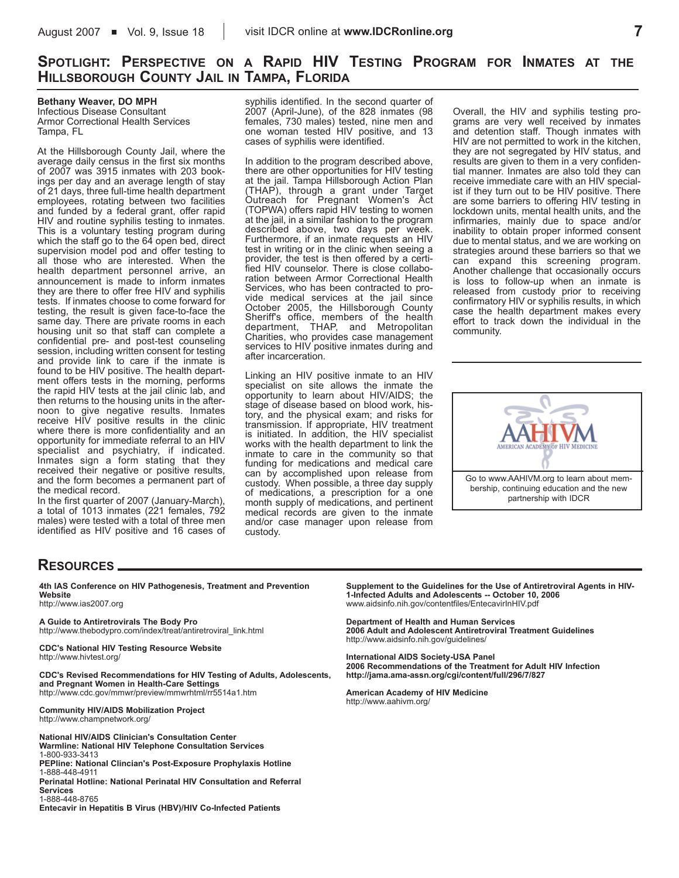### **SPOTLIGHT: PERSPECTIVE ON A RAPID HIV TESTING PROGRAM FOR INMATES AT THE HILLSBOROUGH COUNTY JAIL IN TAMPA, FLORIDA**

**Bethany Weaver, DO MPH** Infectious Disease Consultant Armor Correctional Health Services Tampa, FL

At the Hillsborough County Jail, where the average daily census in the first six months of 2007 was 3915 inmates with 203 bookings per day and an average length of stay of 21 days, three full-time health department employees, rotating between two facilities and funded by a federal grant, offer rapid HIV and routine syphilis testing to inmates. This is a voluntary testing program during which the staff go to the 64 open bed, direct supervision model pod and offer testing to all those who are interested. When the health department personnel arrive, an announcement is made to inform inmates they are there to offer free HIV and syphilis tests. If inmates choose to come forward for testing, the result is given face-to-face the same day. There are private rooms in each housing unit so that staff can complete a confidential pre- and post-test counseling session, including written consent for testing and provide link to care if the inmate is found to be HIV positive. The health department offers tests in the morning, performs the rapid HIV tests at the jail clinic lab, and then returns to the housing units in the afternoon to give negative results. Inmates receive HIV positive results in the clinic where there is more confidentiality and an opportunity for immediate referral to an HIV specialist and psychiatry, if indicated. Inmates sign a form stating that they received their negative or positive results, and the form becomes a permanent part of the medical record.

In the first quarter of 2007 (January-March), a total of 1013 inmates (221 females, 792 males) were tested with a total of three men identified as HIV positive and 16 cases of syphilis identified. In the second quarter of 2007 (April-June), of the 828 inmates (98 females, 730 males) tested, nine men and one woman tested HIV positive, and 13 cases of syphilis were identified.

In addition to the program described above, there are other opportunities for HIV testing at the jail. Tampa Hillsborough Action Plan (THAP), through a grant under Target Outreach for Pregnant Women's Act (TOPWA) offers rapid HIV testing to women at the jail, in a similar fashion to the program described above, two days per week. Furthermore, if an inmate requests an HIV test in writing or in the clinic when seeing a provider, the test is then offered by a certified HIV counselor. There is close collaboration between Armor Correctional Health Services, who has been contracted to provide medical services at the jail since October 2005, the Hillsborough County Sheriff's office, members of the health department, THAP, and Metropolitan Charities, who provides case management services to HIV positive inmates during and after incarceration.

Linking an HIV positive inmate to an HIV specialist on site allows the inmate the opportunity to learn about HIV/AIDS; the stage of disease based on blood work, history, and the physical exam; and risks for transmission. If appropriate, HIV treatment is initiated. In addition, the HIV specialist works with the health department to link the inmate to care in the community so that funding for medications and medical care can by accomplished upon release from custody. When possible, a three day supply of medications, a prescription for a one month supply of medications, and pertinent medical records are given to the inmate and/or case manager upon release from custody.

Overall, the HIV and syphilis testing programs are very well received by inmates and detention staff. Though inmates with HIV are not permitted to work in the kitchen, they are not segregated by HIV status, and results are given to them in a very confidential manner. Inmates are also told they can receive immediate care with an HIV specialist if they turn out to be HIV positive. There are some barriers to offering HIV testing in lockdown units, mental health units, and the infirmaries, mainly due to space and/or inability to obtain proper informed consent due to mental status, and we are working on strategies around these barriers so that we can expand this screening program. Another challenge that occasionally occurs is loss to follow-up when an inmate is released from custody prior to receiving confirmatory HIV or syphilis results, in which case the health department makes every effort to track down the individual in the community.



### **RESOURCES**

**4th IAS Conference on HIV Pathogenesis, Treatment and Prevention Website**

http://www.ias2007.org

**A Guide to Antiretrovirals The Body Pro** http://www.thebodypro.com/index/treat/antiretroviral\_link.html

**CDC's National HIV Testing Resource Website** http://www.hivtest.org/

**CDC's Revised Recommendations for HIV Testing of Adults, Adolescents, and Pregnant Women in Health-Care Settings** http://www.cdc.gov/mmwr/preview/mmwrhtml/rr5514a1.htm

**Community HIV/AIDS Mobilization Project** http://www.champnetwork.org/

**National HIV/AIDS Clinician's Consultation Center Warmline: National HIV Telephone Consultation Services** 1-800-933-3413 **PEPline: National Clincian's Post-Exposure Prophylaxis Hotline** 1-888-448-4911 **Perinatal Hotline: National Perinatal HIV Consultation and Referral**

**Services**

1-888-448-8765

**Entecavir in Hepatitis B Virus (HBV)/HIV Co-Infected Patients**

**Supplement to the Guidelines for the Use of Antiretroviral Agents in HIV-1-Infected Adults and Adolescents -- October 10, 2006** www.aidsinfo.nih.gov/contentfiles/EntecavirInHIV.pdf

**Department of Health and Human Services 2006 Adult and Adolescent Antiretroviral Treatment Guidelines** http://www.aidsinfo.nih.gov/guidelines/

**International AIDS Society-USA Panel 2006 Recommendations of the Treatment for Adult HIV Infection http://jama.ama-assn.org/cgi/content/full/296/7/827**

**American Academy of HIV Medicine** http://www.aahivm.org/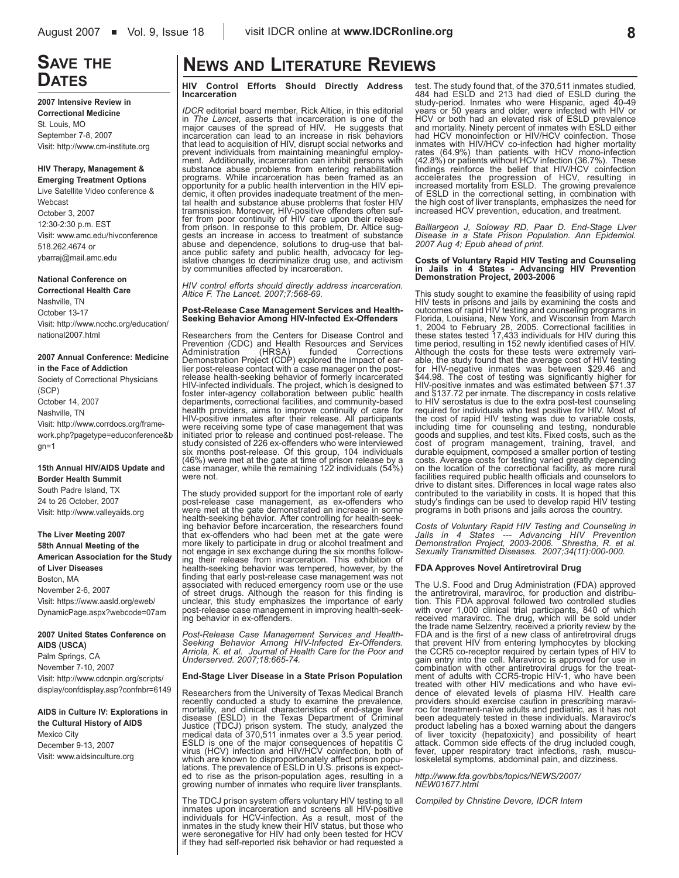## **SAVE THE DATES**

#### **2007 Intensive Review in Correctional Medicine**   $St$ . Louis, MO

September 7-8, 2007 Visit: http://www.cm-institute.org

### **HIV Therapy, Management &**

**Emerging Treatment Options** Live Satellite Video conference & Webcast October 3, 2007 12:30-2:30 p.m. EST Visit: www.amc.edu/hivconference 518.262.4674 or ybarraj@mail.amc.edu

### **National Conference on**

**Correctional Health Care** Nashville, TN October 13-17 Visit: http://www.ncchc.org/education/ national2007.html

#### **2007 Annual Conference: Medicine in the Face of Addiction**

Society of Correctional Physicians (SCP) October 14, 2007 Nashville, TN Visit: http://www.corrdocs.org/framework.php?pagetype=educonference&b gn=1

### **15th Annual HIV/AIDS Update and Border Health Summit**

South Padre Island, TX 24 to 26 October, 2007 Visit: http://www.valleyaids.org

#### **The Liver Meeting 2007 58th Annual Meeting of the American Association for the Study**

**of Liver Diseases** Boston, MA November 2-6, 2007 Visit: https://www.aasld.org/eweb/ DynamicPage.aspx?webcode=07am

#### **2007 United States Conference on AIDS (USCA)**

Palm Springs, CA November 7-10, 2007 Visit: http://www.cdcnpin.org/scripts/ display/confdisplay.asp?confnbr=6149

#### **AIDS in Culture IV: Explorations in the Cultural History of AIDS**

Mexico City December 9-13, 2007 Visit: www.aidsinculture.org

## **NEWS AND LITERATURE REVIEWS**

**HIV Control Efforts Should Directly Address Incarceration**

*IDCR* editorial board member, Rick Altice, in this editorial in *The Lancet*, asserts that incarceration is one of the major causes of the spread of HIV. He suggests that incarceration can lead to an increase in risk behaviors that lead to acquisition of HIV, disrupt social networks and prevent individuals from maintaining meaningful employment. Additionally, incarceration can inhibit persons with substance abuse problems from entering rehabilitation programs. While incarceration has been framed as an<br>opportunity for a public health intervention in the HIV epi-<br>demic, it often provides inadequate treatment of the men-<br>tal health and substance abuse problems that foster tramsnission. Moreover, HIV-positive offenders often suf-fer from poor continuity of HIV care upon their release from prison. In response to this problem, Dr. Altice suggests an increase in access to treatment of substance abuse and dependence, solutions to drug-use that bal-ance public safety and public health, advocacy for leg-islative changes to decriminalize drug use, and activism by communities affected by incarceration.

*HIV control efforts should directly address incarceration. Altice F. The Lancet. 2007;7:568-69.*

#### **Post-Release Case Management Services and Health-Seeking Behavior Among HIV-Infected Ex-Offenders**

Researchers from the Centers for Disease Control and Prevention (CDC) and Health Resources and Services Administration (HRSA) funded Corrections Demonstration Project (CDP) explored the impact of earlier post-release contact with a case manager on the postrelease health-seeking behavior of formerly incarcerated HIV-infected individuals. The project, which is designed to foster inter-agency collaboration between public health departments, correctional facilities, and community-based health providers, aims to improve continuity of care for HIV-positive inmates after their release. All participants were receiving some type of case management that was initiated prior to release and continued post-release. The study consisted of 226 ex-offenders who were interviewed<br>six months post-release. Of this group, 104 individuals<br>(46%) were met at the gate at time of prison release by a<br>case manager, while the remaining 122 individuals ( were not.

The study provided support for the important role of early post-release case management, as ex-offenders who were met at the gate demonstrated an increase in some health-seeking behavior. After controlling for health-seeking behavior before incarceration, the researchers found that ex-offenders who had been met at the gate were more likely to participate in drug or alcohol treatment and not engage in sex exchange during the six months follow-ing their release from incarceration. This exhibition of health-seeking behavior was tempered, however, by the finding that early post-release case management was not associated with reduced emergency room use or the use of street drugs. Although the reason for this finding is unclear, this study emphasizes the importance of early post-release case management in improving health-seek-ing behavior in ex-offenders.

*Post-Release Case Management Services and Health-Seeking Behavior Among HIV-Infected Ex-Offenders. Arriola, K. et al. Journal of Health Care for the Poor and Underserved. 2007;18:665-74.*

#### **End-Stage Liver Disease in a State Prison Population**

Researchers from the University of Texas Medical Branch recently conducted a study to examine the prevalence, mortality, and clinical characteristics of end-stage liver<br>disease (ESLD) in the Texas Department of Criminal<br>Justice (TDCJ) prison system. The study, analyzed the<br>medical data of 370,511 inmates over a 3.5 year period.<br>ES

The TDCJ prison system offers voluntary HIV testing to all inmates upon incarceration and screens all HIV-positive<br>individuals for HCV-infection. As a result, most of the<br>inmates in the study knew their HIV status, but those who<br>were seronegative for HIV had only been tested for H if they had self-reported risk behavior or had requested a

test. The study found that, of the 370,511 inmates studied, 484 had ESLD and 213 had died of ESLD during the study-period. Inmates who were Hispanic, aged 40-49 years or 50 years and older, were infected with HIV or<br>HCV or both had an elevated risk of ESLD prevalence<br>and mortality. Ninety percent of inmates with ESLD either<br>had HCV monoinfection or HIV/HCV coinfection. Those<br>inmat findings reinforce the belief that HIV/HCV coinfection<br>accelerates the progression of HCV, resulting in<br>increased mortality from ESLD. The growing prevalence<br>of ESLD in the correctional setting, in combination with<br>the hig increased HCV prevention, education, and treatment.

*Baillargeon J, Soloway RD, Paar D. End-Stage Liver Disease in a State Prison Population. Ann Epidemiol. 2007 Aug 4; Epub ahead of print.* 

## **Costs of Voluntary Rapid HIV Testing and Counseling in Jails in 4 States - Advancing HIV Prevention Demonstration Project, 2003-2006**

This study sought to examine the feasibility of using rapid<br>HIV tests in prisons and jails by examining the costs and<br>outcomes of rapid HIV testing and counseling programs in<br>Florida, Louisiana, New York, and Wisconsin fro time period, resulting in 152 newly identified cases of HIV. Although the costs for these tests were extremely variable, the study found that the average cost of HIV testing for HIV-negative inmates was between \$29.46 and \$44.98. The cost of testing was significantly higher for HIV-positive inmates and was estimated between \$71.37 and \$137.72 per inmate. The discrepancy in costs relative to HIV serostatus is due to the extra post-test counseling required for individuals who test positive for HIV. Most of the cost of rapid HIV testing was due to variable costs, including time for counseling and testing, nondurable goods and supplies, and test kits. Fixed costs, such as the cost of program management, training, travel, and durable equipment, composed a smaller portion of testing costs. Average costs for testing varied greatly depending on the location of the correctional facility, as more rural facilities required public health officials and counselors to drive to distant sites. Differences in local wage rates also contributed to the variability in costs. It is hoped that this study's findings can be used to develop rapid HIV testing programs in both prisons and jails across the country.

*Costs of Voluntary Rapid HIV Testing and Counseling in Jails in 4 States --- Advancing HIV Prevention Demonstration Project, 2003-2006. Shrestha, R. et al. Sexually Transmitted Diseases. 2007;34(11):000-000.*

#### **FDA Approves Novel Antiretroviral Drug**

The U.S. Food and Drug Administration (FDA) approved the antiretroviral, maraviroc, for production and distribu-<br>tion. This FDA approval followed two controlled studies<br>with over 1,000 clinical trial participants, 840 of which<br>received maraviroc. The drug, which will be sold that prevent HIV from entering lymphocytes by blocking the CCR5 co-receptor required by certain types of HIV to<br>gain entry into the cell. Maraviroc is approved for use in<br>combination with other antiretroviral drugs for the treat-<br>ment of adults with CCR5-tropic HIV-1, who have treated with other HIV medications and who have evidence of elevated levels of plasma HIV. Health care providers should exercise caution in prescribing maraviroc for treatment-naïve adults and pediatric, as it has not been adequately tested in these individuals. Maraviroc's product labeling has a boxed warning about the dangers of liver toxicity (hepatoxicity) and possibility of heart attack. Common side effects of the drug included cough, fever, upper respiratory tract infections, rash, musculoskeletal symptoms, abdominal pain, and dizziness.

*http://www.fda.gov/bbs/topics/NEWS/2007/ NEW01677.html*

*Compiled by Christine Devore, IDCR Intern*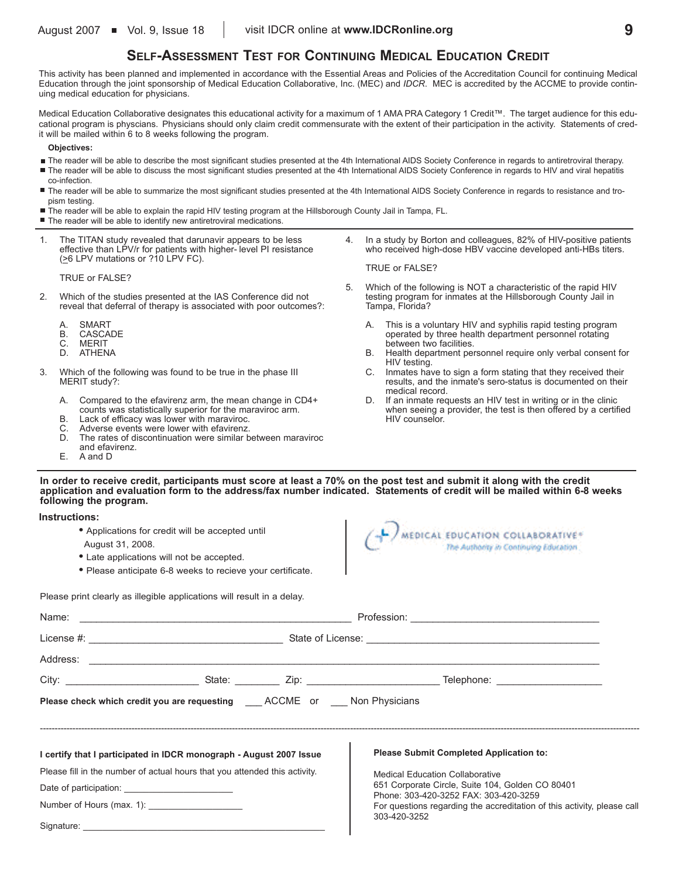### **SELF-ASSESSMENT TEST FOR CONTINUING MEDICAL EDUCATION CREDIT**

This activity has been planned and implemented in accordance with the Essential Areas and Policies of the Accreditation Council for continuing Medical Education through the joint sponsorship of Medical Education Collaborative, Inc. (MEC) and *IDCR*. MEC is accredited by the ACCME to provide continuing medical education for physicians.

Medical Education Collaborative designates this educational activity for a maximum of 1 AMA PRA Category 1 Credit™. The target audience for this educational program is physcians. Physicians should only claim credit commensurate with the extent of their participation in the activity. Statements of credit will be mailed within 6 to 8 weeks following the program.

**Objectives:**

- The reader will be able to describe the most significant studies presented at the 4th International AIDS Society Conference in regards to antiretroviral therapy.
- The reader will be able to discuss the most significant studies presented at the 4th International AIDS Society Conference in regards to HIV and viral hepatitis co-infection.
- The reader will be able to summarize the most significant studies presented at the 4th International AIDS Society Conference in regards to resistance and tropism testing.

TRUE or FALSE?

Tampa, Florida?

- The reader will be able to explain the rapid HIV testing program at the Hillsborough County Jail in Tampa, FL.
- The reader will be able to identify new antiretroviral medications.
- 1. The TITAN study revealed that darunavir appears to be less effective than LPV/r for patients with higher- level PI resistance (>6 LPV mutations or ?10 LPV FC).

TRUE or FALSE?

- 2. Which of the studies presented at the IAS Conference did not reveal that deferral of therapy is associated with poor outcomes?:
	- A. SMART<br>B. CASCA
	- B. CASCADE<br>C. MERIT
	- C. MERIT<br>D. ATHEN
	- **ATHENA**
- 3. Which of the following was found to be true in the phase III MERIT study?:
	- A. Compared to the efavirenz arm, the mean change in CD4+ counts was statistically superior for the maraviroc arm.
	- B. Lack of efficacy was lower with maraviroc.
	- C. Adverse events were lower with efavirenz.<br>D. The rates of discontinuation were similar b
	- The rates of discontinuation were similar between maraviroc
	- and efavirenz. E. A and D

A. This is a voluntary HIV and syphilis rapid testing program operated by three health department personnel rotating between two facilities. B. Health department personnel require only verbal consent for

4. In a study by Borton and colleagues, 82% of HIV-positive patients who received high-dose HBV vaccine developed anti-HBs titers.

5. Which of the following is NOT a characteristic of the rapid HIV testing program for inmates at the Hillsborough County Jail in

- HIV testing.
- C. Inmates have to sign a form stating that they received their results, and the inmate's sero-status is documented on their medical record.
- D. If an inmate requests an HIV test in writing or in the clinic when seeing a provider, the test is then offered by a certified HIV counselor.

### **In order to receive credit, participants must score at least a 70% on the post test and submit it along with the credit application and evaluation form to the address/fax number indicated. Statements of credit will be mailed within 6-8 weeks following the program.**

**Instructions:**

- **•** Applications for credit will be accepted until
- August 31, 2008.
- **•** Late applications will not be accepted.
- **•** Please anticipate 6-8 weeks to recieve your certificate.



Please print clearly as illegible applications will result in a delay.

| Please check which credit you are requesting ACCME or Non Physicians       |  |                                                                                           |
|----------------------------------------------------------------------------|--|-------------------------------------------------------------------------------------------|
| I certify that I participated in IDCR monograph - August 2007 Issue        |  | <b>Please Submit Completed Application to:</b>                                            |
| Please fill in the number of actual hours that you attended this activity. |  | <b>Medical Education Collaborative</b>                                                    |
|                                                                            |  | 651 Corporate Circle, Suite 104, Golden CO 80401<br>Phone: 303-420-3252 FAX: 303-420-3259 |
|                                                                            |  | For questions regarding the accreditation of this activity, please call                   |
|                                                                            |  | 303-420-3252                                                                              |